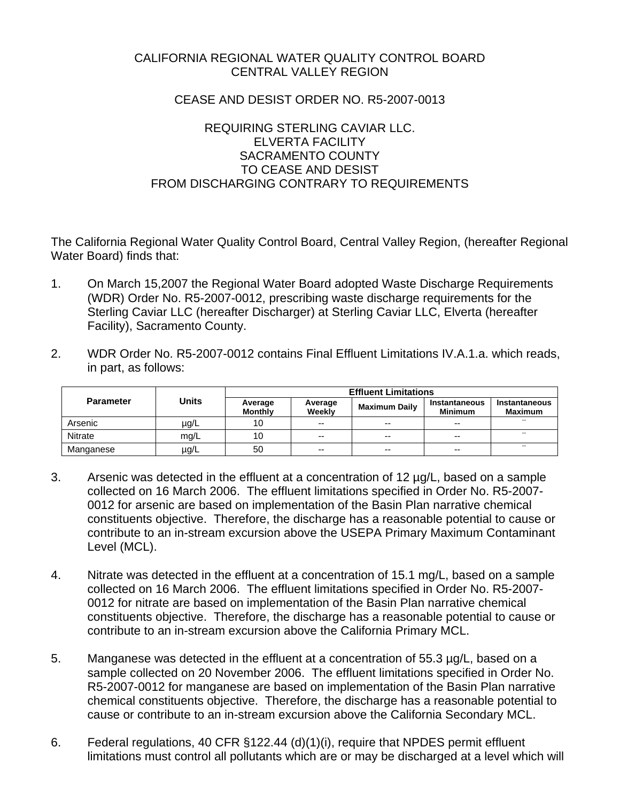# CALIFORNIA REGIONAL WATER QUALITY CONTROL BOARD CENTRAL VALLEY REGION

## CEASE AND DESIST ORDER NO. R5-2007-0013

# REQUIRING STERLING CAVIAR LLC. ELVERTA FACILITY SACRAMENTO COUNTY TO CEASE AND DESIST FROM DISCHARGING CONTRARY TO REQUIREMENTS

The California Regional Water Quality Control Board, Central Valley Region, (hereafter Regional Water Board) finds that:

- 1. On March 15,2007 the Regional Water Board adopted Waste Discharge Requirements (WDR) Order No. R5-2007-0012, prescribing waste discharge requirements for the Sterling Caviar LLC (hereafter Discharger) at Sterling Caviar LLC, Elverta (hereafter Facility), Sacramento County.
- 2. WDR Order No. R5-2007-0012 contains Final Effluent Limitations IV.A.1.a. which reads, in part, as follows:

|                  | Units     | <b>Effluent Limitations</b> |                   |                      |                                 |                          |
|------------------|-----------|-----------------------------|-------------------|----------------------|---------------------------------|--------------------------|
| <b>Parameter</b> |           | Average<br><b>Monthly</b>   | Average<br>Weekly | <b>Maximum Daily</b> | Instantaneous<br><b>Minimum</b> | Instantaneous<br>Maximum |
| Arsenic          | $\mu$ g/L | 10                          | $- -$             | $-$                  | $-$                             | --                       |
| Nitrate          | mq/L      | 10                          | $- -$             | $-$                  | $-$                             | $- -$                    |
| Manganese        | $\mu$ g/L | 50                          | $- -$             | $-$                  | $-$                             | --                       |

- 3. Arsenic was detected in the effluent at a concentration of 12 µg/L, based on a sample collected on 16 March 2006. The effluent limitations specified in Order No. R5-2007- 0012 for arsenic are based on implementation of the Basin Plan narrative chemical constituents objective. Therefore, the discharge has a reasonable potential to cause or contribute to an in-stream excursion above the USEPA Primary Maximum Contaminant Level (MCL).
- 4. Nitrate was detected in the effluent at a concentration of 15.1 mg/L, based on a sample collected on 16 March 2006. The effluent limitations specified in Order No. R5-2007- 0012 for nitrate are based on implementation of the Basin Plan narrative chemical constituents objective. Therefore, the discharge has a reasonable potential to cause or contribute to an in-stream excursion above the California Primary MCL.
- 5. Manganese was detected in the effluent at a concentration of 55.3 µg/L, based on a sample collected on 20 November 2006. The effluent limitations specified in Order No. R5-2007-0012 for manganese are based on implementation of the Basin Plan narrative chemical constituents objective. Therefore, the discharge has a reasonable potential to cause or contribute to an in-stream excursion above the California Secondary MCL.
- 6. Federal regulations, 40 CFR §122.44 (d)(1)(i), require that NPDES permit effluent limitations must control all pollutants which are or may be discharged at a level which will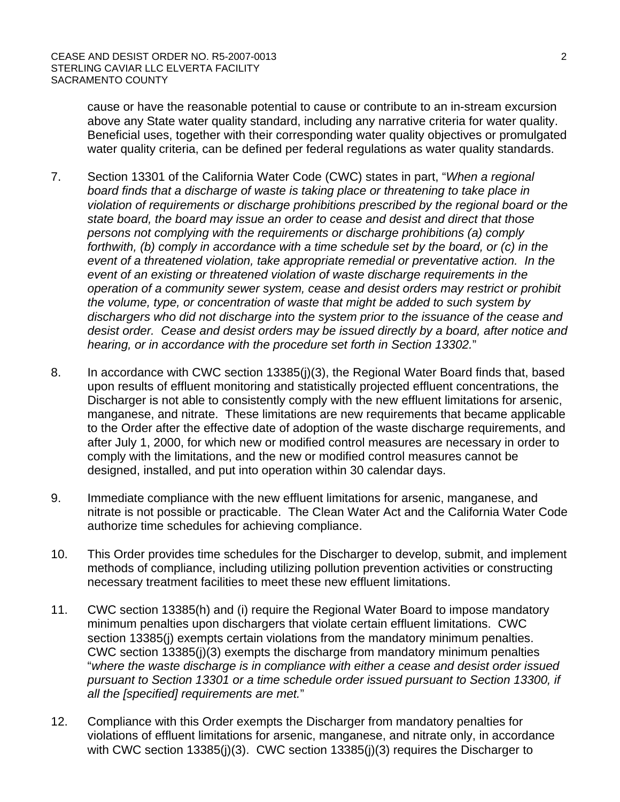cause or have the reasonable potential to cause or contribute to an in-stream excursion above any State water quality standard, including any narrative criteria for water quality. Beneficial uses, together with their corresponding water quality objectives or promulgated water quality criteria, can be defined per federal regulations as water quality standards.

- 7. Section 13301 of the California Water Code (CWC) states in part, "*When a regional board finds that a discharge of waste is taking place or threatening to take place in violation of requirements or discharge prohibitions prescribed by the regional board or the state board, the board may issue an order to cease and desist and direct that those persons not complying with the requirements or discharge prohibitions (a) comply forthwith, (b) comply in accordance with a time schedule set by the board, or (c) in the event of a threatened violation, take appropriate remedial or preventative action. In the event of an existing or threatened violation of waste discharge requirements in the operation of a community sewer system, cease and desist orders may restrict or prohibit the volume, type, or concentration of waste that might be added to such system by dischargers who did not discharge into the system prior to the issuance of the cease and desist order. Cease and desist orders may be issued directly by a board, after notice and hearing, or in accordance with the procedure set forth in Section 13302.*"
- 8. In accordance with CWC section 13385(j)(3), the Regional Water Board finds that, based upon results of effluent monitoring and statistically projected effluent concentrations, the Discharger is not able to consistently comply with the new effluent limitations for arsenic, manganese, and nitrate. These limitations are new requirements that became applicable to the Order after the effective date of adoption of the waste discharge requirements, and after July 1, 2000, for which new or modified control measures are necessary in order to comply with the limitations, and the new or modified control measures cannot be designed, installed, and put into operation within 30 calendar days.
- 9. Immediate compliance with the new effluent limitations for arsenic, manganese, and nitrate is not possible or practicable. The Clean Water Act and the California Water Code authorize time schedules for achieving compliance.
- 10. This Order provides time schedules for the Discharger to develop, submit, and implement methods of compliance, including utilizing pollution prevention activities or constructing necessary treatment facilities to meet these new effluent limitations.
- 11. CWC section 13385(h) and (i) require the Regional Water Board to impose mandatory minimum penalties upon dischargers that violate certain effluent limitations. CWC section 13385(j) exempts certain violations from the mandatory minimum penalties. CWC section 13385(j)(3) exempts the discharge from mandatory minimum penalties "*where the waste discharge is in compliance with either a cease and desist order issued pursuant to Section 13301 or a time schedule order issued pursuant to Section 13300, if all the [specified] requirements are met.*"
- 12. Compliance with this Order exempts the Discharger from mandatory penalties for violations of effluent limitations for arsenic, manganese, and nitrate only, in accordance with CWC section 13385(j)(3). CWC section 13385(j)(3) requires the Discharger to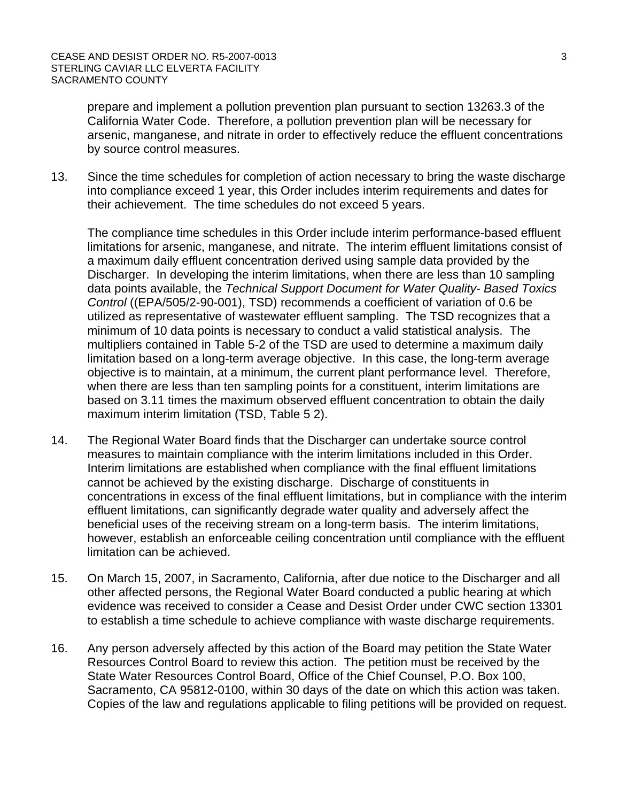prepare and implement a pollution prevention plan pursuant to section 13263.3 of the California Water Code. Therefore, a pollution prevention plan will be necessary for arsenic, manganese, and nitrate in order to effectively reduce the effluent concentrations by source control measures.

13. Since the time schedules for completion of action necessary to bring the waste discharge into compliance exceed 1 year, this Order includes interim requirements and dates for their achievement. The time schedules do not exceed 5 years.

The compliance time schedules in this Order include interim performance-based effluent limitations for arsenic, manganese, and nitrate. The interim effluent limitations consist of a maximum daily effluent concentration derived using sample data provided by the Discharger. In developing the interim limitations, when there are less than 10 sampling data points available, the *Technical Support Document for Water Quality- Based Toxics Control* ((EPA/505/2-90-001), TSD) recommends a coefficient of variation of 0.6 be utilized as representative of wastewater effluent sampling. The TSD recognizes that a minimum of 10 data points is necessary to conduct a valid statistical analysis. The multipliers contained in Table 5-2 of the TSD are used to determine a maximum daily limitation based on a long-term average objective. In this case, the long-term average objective is to maintain, at a minimum, the current plant performance level. Therefore, when there are less than ten sampling points for a constituent, interim limitations are based on 3.11 times the maximum observed effluent concentration to obtain the daily maximum interim limitation (TSD, Table 5 2).

- 14. The Regional Water Board finds that the Discharger can undertake source control measures to maintain compliance with the interim limitations included in this Order. Interim limitations are established when compliance with the final effluent limitations cannot be achieved by the existing discharge. Discharge of constituents in concentrations in excess of the final effluent limitations, but in compliance with the interim effluent limitations, can significantly degrade water quality and adversely affect the beneficial uses of the receiving stream on a long-term basis. The interim limitations, however, establish an enforceable ceiling concentration until compliance with the effluent limitation can be achieved.
- 15. On March 15, 2007, in Sacramento, California, after due notice to the Discharger and all other affected persons, the Regional Water Board conducted a public hearing at which evidence was received to consider a Cease and Desist Order under CWC section 13301 to establish a time schedule to achieve compliance with waste discharge requirements.
- 16. Any person adversely affected by this action of the Board may petition the State Water Resources Control Board to review this action. The petition must be received by the State Water Resources Control Board, Office of the Chief Counsel, P.O. Box 100, Sacramento, CA 95812-0100, within 30 days of the date on which this action was taken. Copies of the law and regulations applicable to filing petitions will be provided on request.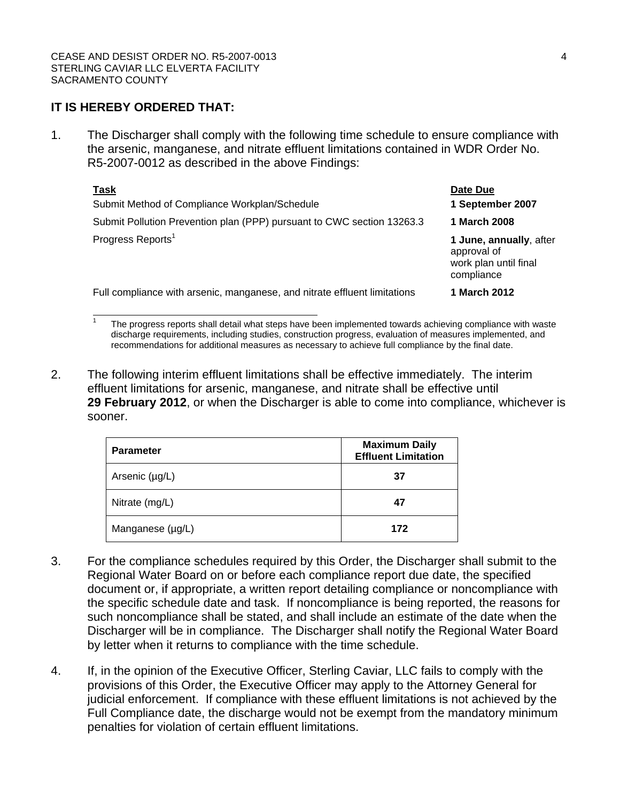## **IT IS HEREBY ORDERED THAT:**

1. The Discharger shall comply with the following time schedule to ensure compliance with the arsenic, manganese, and nitrate effluent limitations contained in WDR Order No. R5-2007-0012 as described in the above Findings:

| <b>Task</b>                                                               | Date Due                                                                      |  |
|---------------------------------------------------------------------------|-------------------------------------------------------------------------------|--|
| Submit Method of Compliance Workplan/Schedule                             | 1 September 2007                                                              |  |
| Submit Pollution Prevention plan (PPP) pursuant to CWC section 13263.3    | 1 March 2008                                                                  |  |
| Progress Reports <sup>1</sup>                                             | 1 June, annually, after<br>approval of<br>work plan until final<br>compliance |  |
| Full compliance with arsenic, manganese, and nitrate effluent limitations | 1 March 2012                                                                  |  |

1 The progress reports shall detail what steps have been implemented towards achieving compliance with waste discharge requirements, including studies, construction progress, evaluation of measures implemented, and recommendations for additional measures as necessary to achieve full compliance by the final date.

2. The following interim effluent limitations shall be effective immediately. The interim effluent limitations for arsenic, manganese, and nitrate shall be effective until **29 February 2012**, or when the Discharger is able to come into compliance, whichever is sooner.

| <b>Parameter</b> | <b>Maximum Daily</b><br><b>Effluent Limitation</b> |  |  |
|------------------|----------------------------------------------------|--|--|
| Arsenic (µg/L)   | 37                                                 |  |  |
| Nitrate (mg/L)   | 47                                                 |  |  |
| Manganese (µg/L) | 172                                                |  |  |

- 3. For the compliance schedules required by this Order, the Discharger shall submit to the Regional Water Board on or before each compliance report due date, the specified document or, if appropriate, a written report detailing compliance or noncompliance with the specific schedule date and task. If noncompliance is being reported, the reasons for such noncompliance shall be stated, and shall include an estimate of the date when the Discharger will be in compliance. The Discharger shall notify the Regional Water Board by letter when it returns to compliance with the time schedule.
- 4. If, in the opinion of the Executive Officer, Sterling Caviar, LLC fails to comply with the provisions of this Order, the Executive Officer may apply to the Attorney General for judicial enforcement. If compliance with these effluent limitations is not achieved by the Full Compliance date, the discharge would not be exempt from the mandatory minimum penalties for violation of certain effluent limitations.